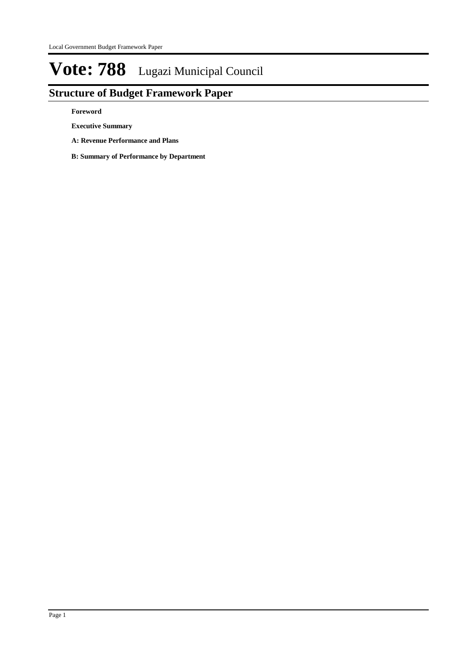## **Structure of Budget Framework Paper**

**Foreword**

**Executive Summary**

- **A: Revenue Performance and Plans**
- **B: Summary of Performance by Department**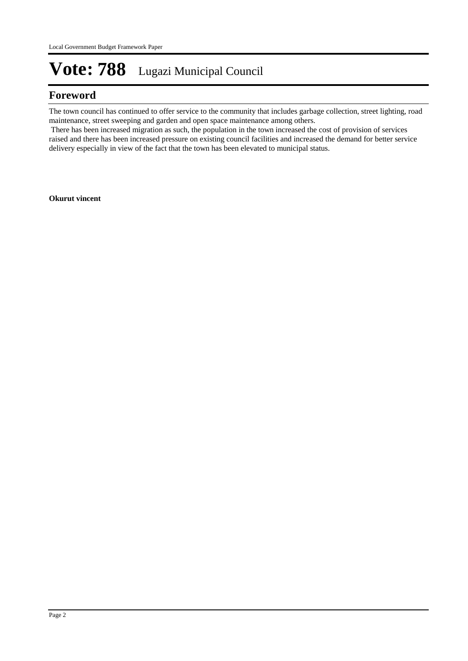### **Foreword**

The town council has continued to offer service to the community that includes garbage collection, street lighting, road maintenance, street sweeping and garden and open space maintenance among others.

 There has been increased migration as such, the population in the town increased the cost of provision of services raised and there has been increased pressure on existing council facilities and increased the demand for better service delivery especially in view of the fact that the town has been elevated to municipal status.

**Okurut vincent**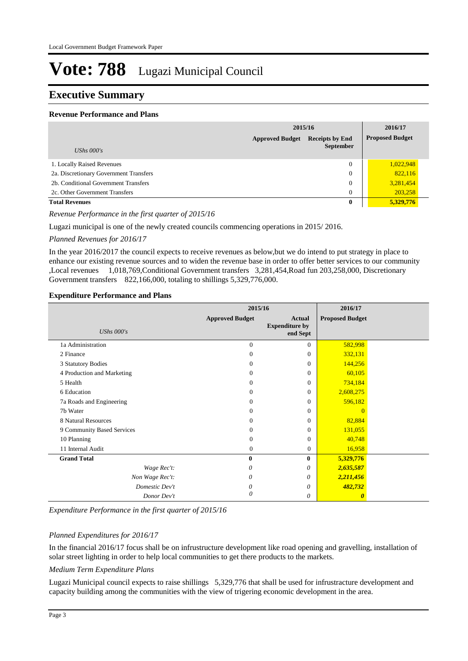### **Executive Summary**

### **Revenue Performance and Plans**

|                                        | 2015/16                |                                            |  | 2016/17                |
|----------------------------------------|------------------------|--------------------------------------------|--|------------------------|
| UShs $000's$                           | <b>Approved Budget</b> | <b>Receipts by End</b><br><b>September</b> |  | <b>Proposed Budget</b> |
| 1. Locally Raised Revenues             |                        | $\mathbf{0}$                               |  | 1,022,948              |
| 2a. Discretionary Government Transfers |                        | $\overline{0}$                             |  | 822,116                |
| 2b. Conditional Government Transfers   |                        | $\overline{0}$                             |  | 3,281,454              |
| 2c. Other Government Transfers         |                        | $\overline{0}$                             |  | 203,258                |
| <b>Total Revenues</b>                  |                        | 0                                          |  | 5,329,776              |

*Revenue Performance in the first quarter of 2015/16*

Lugazi municipal is one of the newly created councils commencing operations in 2015/ 2016.

*Planned Revenues for 2016/17*

In the year 2016/2017 the council expects to receive revenues as below,but we do intend to put strategy in place to enhance our existing revenue sources and to widen the revenue base in order to offer better services to our community ,Local revenues 1,018,769,Conditional Government transfers 3,281,454,Road fun 203,258,000, Discretionary Government transfers 822,166,000, totaling to shillings 5,329,776,000.

### **Expenditure Performance and Plans**

|                            | 2015/16                |                                                    | 2016/17                |  |
|----------------------------|------------------------|----------------------------------------------------|------------------------|--|
| UShs $000's$               | <b>Approved Budget</b> | <b>Actual</b><br><b>Expenditure by</b><br>end Sept | <b>Proposed Budget</b> |  |
| 1a Administration          | $\mathbf{0}$           | $\Omega$                                           | 582,998                |  |
| 2 Finance                  | $\mathbf{0}$           | $\Omega$                                           | 332,131                |  |
| 3 Statutory Bodies         | $\Omega$               | $\Omega$                                           | 144,256                |  |
| 4 Production and Marketing | $\mathbf{0}$           | $\Omega$                                           | 60,105                 |  |
| 5 Health                   | $\Omega$               | $\Omega$                                           | 734,184                |  |
| 6 Education                | $\mathbf{0}$           | $\Omega$                                           | 2,608,275              |  |
| 7a Roads and Engineering   | $\Omega$               | $\Omega$                                           | 596,182                |  |
| 7b Water                   | $\Omega$               | $\Omega$                                           | $\overline{0}$         |  |
| 8 Natural Resources        | $\Omega$               | $\Omega$                                           | 82,884                 |  |
| 9 Community Based Services | $\Omega$               | $\Omega$                                           | 131,055                |  |
| 10 Planning                | $\Omega$               | $\Omega$                                           | 40,748                 |  |
| 11 Internal Audit          | $\mathbf{0}$           | $\overline{0}$                                     | 16,958                 |  |
| <b>Grand Total</b>         | $\bf{0}$               | $\mathbf{0}$                                       | 5,329,776              |  |
| Wage Rec't:                | 0                      | 0                                                  | 2,635,587              |  |
| Non Wage Rec't:            | 0                      | 0                                                  | 2,211,456              |  |
| Domestic Dev't             | 0                      | 0                                                  | 482,732                |  |
| Donor Dev't                | 0                      | 0                                                  | 0                      |  |

*Expenditure Performance in the first quarter of 2015/16*

### *Planned Expenditures for 2016/17*

In the financial 2016/17 focus shall be on infrustructure development like road opening and gravelling, installation of solar street lighting in order to help local communities to get there products to the markets.

### *Medium Term Expenditure Plans*

Lugazi Municipal council expects to raise shillings 5,329,776 that shall be used for infrustracture development and capacity building among the communities with the view of trigering economic development in the area.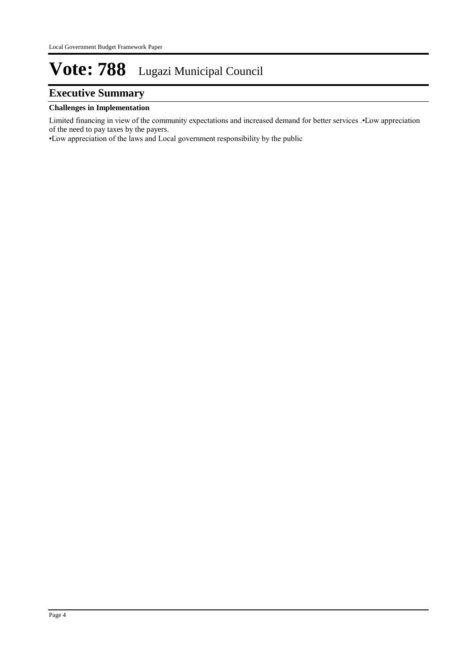### **Executive Summary**

### **Challenges in Implementation**

Limited financing in view of the community expectations and increased demand for better services .• Low appreciation of the need to pay taxes by the payers.

• Low appreciation of the laws and Local government responsibility by the public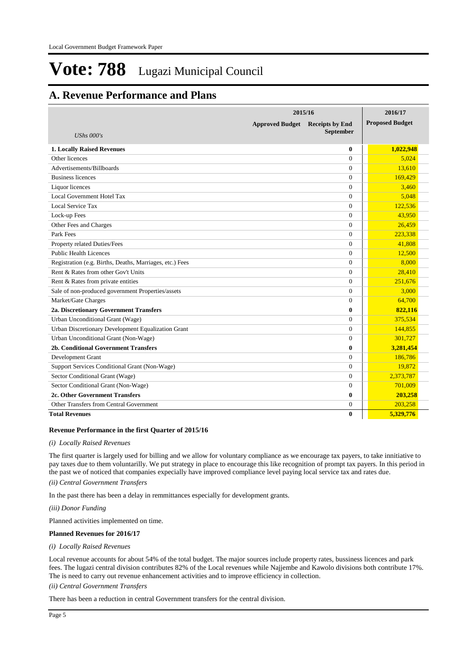### **A. Revenue Performance and Plans**

|                                                          | 2015/16                                | 2016/17        |                        |
|----------------------------------------------------------|----------------------------------------|----------------|------------------------|
|                                                          | <b>Approved Budget</b> Receipts by End | September      | <b>Proposed Budget</b> |
| UShs $000's$                                             |                                        |                |                        |
| <b>1. Locally Raised Revenues</b>                        |                                        | $\mathbf{0}$   | 1,022,948              |
| Other licences                                           |                                        | $\theta$       | 5.024                  |
| Advertisements/Billboards                                |                                        | $\Omega$       | 13.610                 |
| <b>Business licences</b>                                 |                                        | $\theta$       | 169,429                |
| Liquor licences                                          |                                        | $\theta$       | 3.460                  |
| Local Government Hotel Tax                               |                                        | $\theta$       | 5.048                  |
| Local Service Tax                                        |                                        | $\overline{0}$ | 122.536                |
| Lock-up Fees                                             |                                        | $\mathbf{0}$   | 43,950                 |
| Other Fees and Charges                                   |                                        | $\mathbf{0}$   | 26,459                 |
| Park Fees                                                |                                        | $\mathbf{0}$   | 223,338                |
| Property related Duties/Fees                             |                                        | $\Omega$       | 41,808                 |
| <b>Public Health Licences</b>                            |                                        | $\Omega$       | 12.500                 |
| Registration (e.g. Births, Deaths, Marriages, etc.) Fees |                                        | $\mathbf{0}$   | 8,000                  |
| Rent & Rates from other Gov't Units                      |                                        | $\mathbf{0}$   | 28,410                 |
| Rent & Rates from private entities                       |                                        | $\mathbf{0}$   | 251,676                |
| Sale of non-produced government Properties/assets        |                                        | $\mathbf{0}$   | 3,000                  |
| Market/Gate Charges                                      |                                        | $\mathbf{0}$   | 64,700                 |
| 2a. Discretionary Government Transfers                   |                                        | $\bf{0}$       | 822,116                |
| Urban Unconditional Grant (Wage)                         |                                        | $\Omega$       | 375,534                |
| Urban Discretionary Development Equalization Grant       |                                        | $\theta$       | 144,855                |
| Urban Unconditional Grant (Non-Wage)                     |                                        | $\overline{0}$ | 301,727                |
| <b>2b. Conditional Government Transfers</b>              |                                        | 0              | 3,281,454              |
| Development Grant                                        |                                        | $\Omega$       | 186,786                |
| Support Services Conditional Grant (Non-Wage)            |                                        | $\theta$       | 19,872                 |
| Sector Conditional Grant (Wage)                          |                                        | $\theta$       | 2,373,787              |
| Sector Conditional Grant (Non-Wage)                      |                                        | $\Omega$       | 701,009                |
| 2c. Other Government Transfers                           |                                        | $\bf{0}$       | 203,258                |
| Other Transfers from Central Government                  |                                        | $\overline{0}$ | 203,258                |
| <b>Total Revenues</b>                                    |                                        | $\bf{0}$       | 5.329.776              |

#### **Revenue Performance in the first Quarter of 2015/16**

#### *(i) Locally Raised Revenues*

The first quarter is largely used for billing and we allow for voluntary compliance as we encourage tax payers, to take innitiative to pay taxes due to them voluntarilly. We put strategy in place to encourage this like recognition of prompt tax payers. In this period in the past we of noticed that companies expecially have improved compliance level paying local service tax and rates due.

*(ii) Central Government Transfers*

In the past there has been a delay in remmittances especially for development grants.

*(iii) Donor Funding*

Planned activities implemented on time.

#### **Planned Revenues for 2016/17**

#### *(i) Locally Raised Revenues*

Local revenue accounts for about 54% of the total budget. The major sources include property rates, bussiness licences and park fees. The lugazi central division contributes 82% of the Local revenues while Najjembe and Kawolo divisions both contribute 17%. The is need to carry out revenue enhancement activities and to improve efficiency in collection.

### *(ii) Central Government Transfers*

There has been a reduction in central Government transfers for the central division.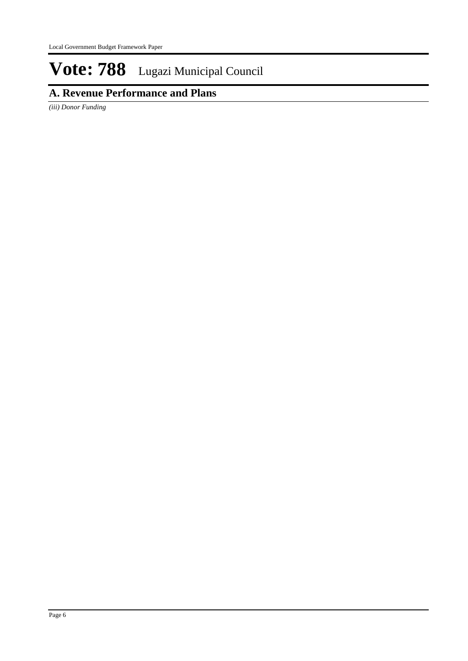## **A. Revenue Performance and Plans**

*(iii) Donor Funding*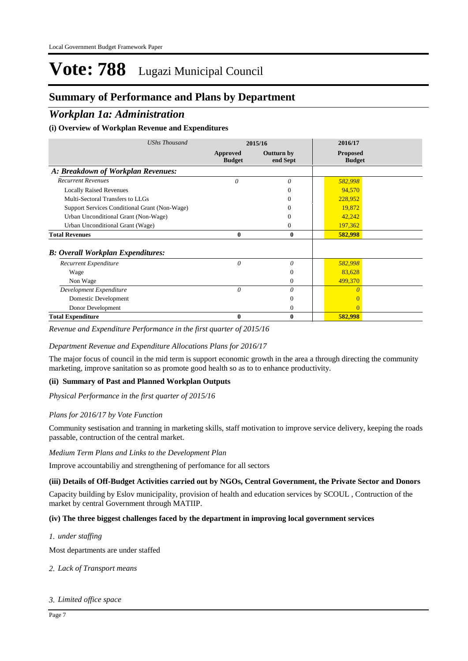### **Summary of Performance and Plans by Department**

### *Workplan 1a: Administration*

### **(i) Overview of Workplan Revenue and Expenditures**

| <b>UShs Thousand</b>                          |                           | 2015/16                       | 2016/17                          |  |
|-----------------------------------------------|---------------------------|-------------------------------|----------------------------------|--|
|                                               | Approved<br><b>Budget</b> | <b>Outturn by</b><br>end Sept | <b>Proposed</b><br><b>Budget</b> |  |
| A: Breakdown of Workplan Revenues:            |                           |                               |                                  |  |
| <b>Recurrent Revenues</b>                     | $\theta$                  | 0                             | 582,998                          |  |
| <b>Locally Raised Revenues</b>                |                           | 0                             | 94,570                           |  |
| Multi-Sectoral Transfers to LLGs              |                           | 0                             | 228,952                          |  |
| Support Services Conditional Grant (Non-Wage) |                           | 0                             | 19,872                           |  |
| Urban Unconditional Grant (Non-Wage)          |                           | $\Omega$                      | 42,242                           |  |
| Urban Unconditional Grant (Wage)              |                           | 0                             | 197,362                          |  |
| <b>Total Revenues</b>                         | $\bf{0}$                  | $\bf{0}$                      | 582,998                          |  |
| <b>B: Overall Workplan Expenditures:</b>      |                           |                               |                                  |  |
| Recurrent Expenditure                         | 0                         | $\Omega$                      | 582,998                          |  |
| Wage                                          |                           | $\Omega$                      | 83,628                           |  |
| Non Wage                                      |                           | $\overline{0}$                | 499,370                          |  |
| Development Expenditure                       | 0                         | 0                             |                                  |  |
| Domestic Development                          |                           | $\Omega$                      |                                  |  |
| Donor Development                             |                           | $\Omega$                      | $\Omega$                         |  |
| <b>Total Expenditure</b>                      | 0                         | $\bf{0}$                      | 582,998                          |  |

*Revenue and Expenditure Performance in the first quarter of 2015/16*

*Department Revenue and Expenditure Allocations Plans for 2016/17*

The major focus of council in the mid term is support economic growth in the area a through directing the community marketing, improve sanitation so as promote good health so as to to enhance productivity.

### **(ii) Summary of Past and Planned Workplan Outputs**

*Physical Performance in the first quarter of 2015/16*

### *Plans for 2016/17 by Vote Function*

Community sestisation and tranning in marketing skills, staff motivation to improve service delivery, keeping the roads passable, contruction of the central market.

### *Medium Term Plans and Links to the Development Plan*

Improve accountabiliy and strengthening of perfomance for all sectors

### **(iii) Details of Off-Budget Activities carried out by NGOs, Central Government, the Private Sector and Donors**

Capacity building by Eslov municipality, provision of health and education services by SCOUL , Contruction of the market by central Government through MATIIP.

### **(iv) The three biggest challenges faced by the department in improving local government services**

### *under staffing 1.*

Most departments are under staffed

### *Lack of Transport means 2.*

### *Limited office space 3.*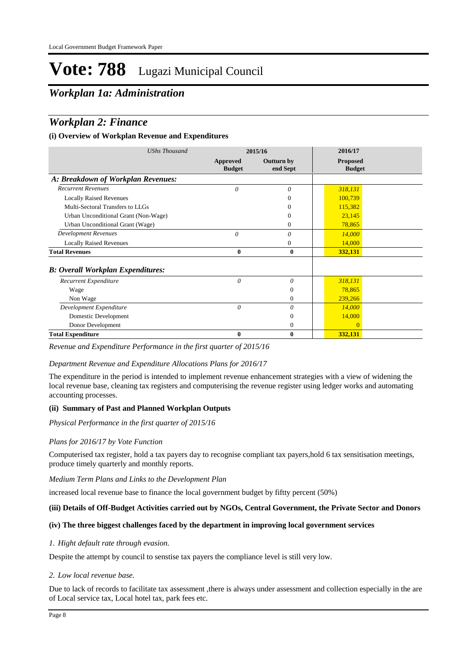### *Workplan 1a: Administration*

### *Workplan 2: Finance*

### **(i) Overview of Workplan Revenue and Expenditures**

| <b>UShs Thousand</b>                     |                           | 2015/16                       | 2016/17                          |  |
|------------------------------------------|---------------------------|-------------------------------|----------------------------------|--|
|                                          | Approved<br><b>Budget</b> | <b>Outturn by</b><br>end Sept | <b>Proposed</b><br><b>Budget</b> |  |
| A: Breakdown of Workplan Revenues:       |                           |                               |                                  |  |
| <b>Recurrent Revenues</b>                | $\theta$                  | $\theta$                      | 318,131                          |  |
| <b>Locally Raised Revenues</b>           |                           | 0                             | 100,739                          |  |
| Multi-Sectoral Transfers to LLGs         |                           | 0                             | 115,382                          |  |
| Urban Unconditional Grant (Non-Wage)     |                           | 0                             | 23,145                           |  |
| Urban Unconditional Grant (Wage)         |                           | 0                             | 78,865                           |  |
| <b>Development Revenues</b>              | $\theta$                  | 0                             | 14,000                           |  |
| <b>Locally Raised Revenues</b>           |                           | $\overline{0}$                | 14,000                           |  |
| <b>Total Revenues</b>                    | 0                         | $\bf{0}$                      | 332,131                          |  |
| <b>B: Overall Workplan Expenditures:</b> |                           |                               |                                  |  |
| Recurrent Expenditure                    | $\theta$                  | $\theta$                      | 318,131                          |  |
| Wage                                     |                           | $\overline{0}$                | 78,865                           |  |
| Non Wage                                 |                           | $\mathbf{0}$                  | 239,266                          |  |
| Development Expenditure                  | $\theta$                  | 0                             | 14,000                           |  |
| Domestic Development                     |                           | $\overline{0}$                | 14,000                           |  |
| Donor Development                        |                           | $\mathbf{0}$                  | $\Omega$                         |  |
| <b>Total Expenditure</b>                 | 0                         | $\bf{0}$                      | 332,131                          |  |

*Revenue and Expenditure Performance in the first quarter of 2015/16*

### *Department Revenue and Expenditure Allocations Plans for 2016/17*

The expenditure in the period is intended to implement revenue enhancement strategies with a view of widening the local revenue base, cleaning tax registers and computerising the revenue register using ledger works and automating accounting processes.

### **(ii) Summary of Past and Planned Workplan Outputs**

*Physical Performance in the first quarter of 2015/16*

### *Plans for 2016/17 by Vote Function*

Computerised tax register, hold a tax payers day to recognise compliant tax payers,hold 6 tax sensitisation meetings, produce timely quarterly and monthly reports.

### *Medium Term Plans and Links to the Development Plan*

increased local revenue base to finance the local government budget by fiftty percent (50%)

### **(iii) Details of Off-Budget Activities carried out by NGOs, Central Government, the Private Sector and Donors**

### **(iv) The three biggest challenges faced by the department in improving local government services**

### *Hight default rate through evasion. 1.*

Despite the attempt by council to senstise tax payers the compliance level is still very low.

### *Low local revenue base. 2.*

Due to lack of records to facilitate tax assessment ,there is always under assessment and collection especially in the are of Local service tax, Local hotel tax, park fees etc.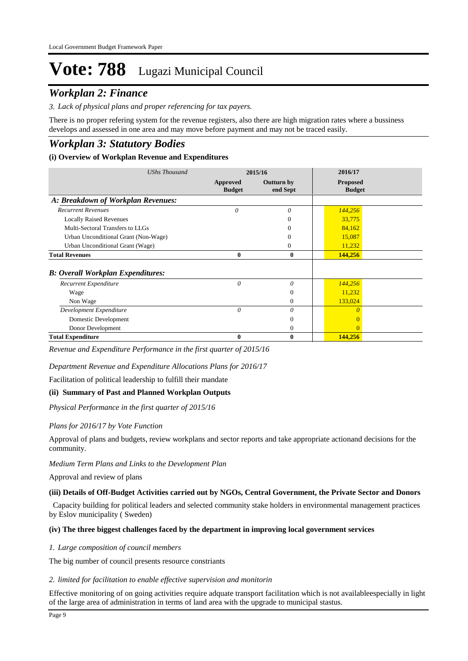### *Workplan 2: Finance*

*Lack of physical plans and proper referencing for tax payers. 3.*

There is no proper refering system for the revenue registers, also there are high migration rates where a bussiness develops and assessed in one area and may move before payment and may not be traced easily.

### *Workplan 3: Statutory Bodies*

### **(i) Overview of Workplan Revenue and Expenditures**

| <b>UShs Thousand</b>                     |                           | 2015/16                       | 2016/17                          |  |
|------------------------------------------|---------------------------|-------------------------------|----------------------------------|--|
|                                          | Approved<br><b>Budget</b> | <b>Outturn by</b><br>end Sept | <b>Proposed</b><br><b>Budget</b> |  |
| A: Breakdown of Workplan Revenues:       |                           |                               |                                  |  |
| <b>Recurrent Revenues</b>                | $\theta$                  | 0                             | 144,256                          |  |
| <b>Locally Raised Revenues</b>           |                           | 0                             | 33,775                           |  |
| Multi-Sectoral Transfers to LLGs         |                           | $\Omega$                      | 84,162                           |  |
| Urban Unconditional Grant (Non-Wage)     |                           | $\Omega$                      | 15,087                           |  |
| Urban Unconditional Grant (Wage)         |                           | 0                             | 11,232                           |  |
| <b>Total Revenues</b>                    | $\bf{0}$                  | $\bf{0}$                      | 144,256                          |  |
| <b>B: Overall Workplan Expenditures:</b> |                           |                               |                                  |  |
| Recurrent Expenditure                    | 0                         | $\theta$                      | 144,256                          |  |
| Wage                                     |                           | $\overline{0}$                | 11,232                           |  |
| Non Wage                                 |                           | $\Omega$                      | 133,024                          |  |
| Development Expenditure                  | $\theta$                  | $\theta$                      |                                  |  |
| Domestic Development                     |                           | $\theta$                      |                                  |  |
| Donor Development                        |                           | $\theta$                      | $\Omega$                         |  |
| <b>Total Expenditure</b>                 | $\mathbf{0}$              | $\mathbf{0}$                  | 144,256                          |  |

*Revenue and Expenditure Performance in the first quarter of 2015/16*

*Department Revenue and Expenditure Allocations Plans for 2016/17*

Facilitation of political leadership to fulfill their mandate

### **(ii) Summary of Past and Planned Workplan Outputs**

*Physical Performance in the first quarter of 2015/16*

### *Plans for 2016/17 by Vote Function*

Approval of plans and budgets, review workplans and sector reports and take appropriate actionand decisions for the community.

*Medium Term Plans and Links to the Development Plan*

Approval and review of plans

### **(iii) Details of Off-Budget Activities carried out by NGOs, Central Government, the Private Sector and Donors**

 Capacity building for political leaders and selected community stake holders in environmental management practices by Eslov municipality ( Sweden)

### **(iv) The three biggest challenges faced by the department in improving local government services**

### *Large composition of council members 1.*

The big number of council presents resource constriants

### *limited for facilitation to enable effective supervision and monitorin 2.*

Effective monitoring of on going activities require adquate transport facilitation which is not availableespecially in light of the large area of administration in terms of land area with the upgrade to municipal stastus.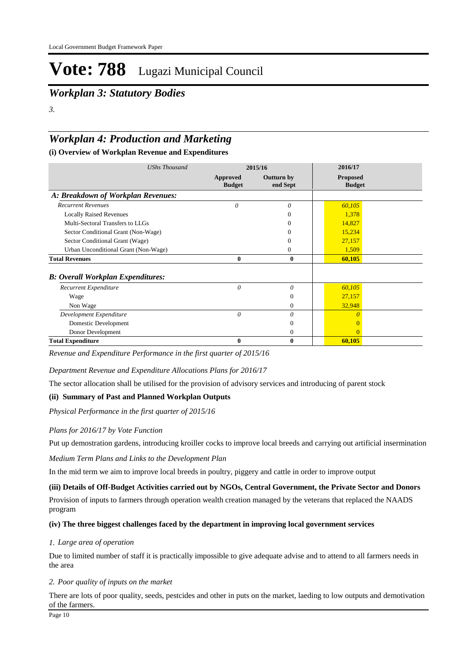*Workplan 3: Statutory Bodies*

*3.*

### *Workplan 4: Production and Marketing*

**(i) Overview of Workplan Revenue and Expenditures**

| <b>UShs Thousand</b>                     |                           | 2015/16                       | 2016/17                          |  |
|------------------------------------------|---------------------------|-------------------------------|----------------------------------|--|
|                                          | Approved<br><b>Budget</b> | <b>Outturn by</b><br>end Sept | <b>Proposed</b><br><b>Budget</b> |  |
| A: Breakdown of Workplan Revenues:       |                           |                               |                                  |  |
| <b>Recurrent Revenues</b>                | 0                         | 0                             | 60,105                           |  |
| <b>Locally Raised Revenues</b>           |                           |                               | 1,378                            |  |
| Multi-Sectoral Transfers to LLGs         |                           |                               | 14,827                           |  |
| Sector Conditional Grant (Non-Wage)      |                           |                               | 15,234                           |  |
| Sector Conditional Grant (Wage)          |                           | 0                             | 27,157                           |  |
| Urban Unconditional Grant (Non-Wage)     |                           | 0                             | 1,509                            |  |
| <b>Total Revenues</b>                    | $\bf{0}$                  | $\bf{0}$                      | 60,105                           |  |
| <b>B: Overall Workplan Expenditures:</b> |                           |                               |                                  |  |
| Recurrent Expenditure                    | $\theta$                  | $\theta$                      | 60,105                           |  |
| Wage                                     |                           | 0                             | 27,157                           |  |
| Non Wage                                 |                           | 0                             | 32,948                           |  |
| Development Expenditure                  | 0                         | 0                             |                                  |  |
| Domestic Development                     |                           | 0                             |                                  |  |
| Donor Development                        |                           | $\overline{0}$                | $\overline{0}$                   |  |
| <b>Total Expenditure</b>                 | 0                         | $\bf{0}$                      | 60,105                           |  |

*Revenue and Expenditure Performance in the first quarter of 2015/16*

*Department Revenue and Expenditure Allocations Plans for 2016/17*

The sector allocation shall be utilised for the provision of advisory services and introducing of parent stock

### **(ii) Summary of Past and Planned Workplan Outputs**

*Physical Performance in the first quarter of 2015/16*

### *Plans for 2016/17 by Vote Function*

Put up demostration gardens, introducing kroiller cocks to improve local breeds and carrying out artificial insermination

*Medium Term Plans and Links to the Development Plan*

In the mid term we aim to improve local breeds in poultry, piggery and cattle in order to improve output

### **(iii) Details of Off-Budget Activities carried out by NGOs, Central Government, the Private Sector and Donors**

Provision of inputs to farmers through operation wealth creation managed by the veterans that replaced the NAADS program

### **(iv) The three biggest challenges faced by the department in improving local government services**

### *Large area of operation 1.*

Due to limited number of staff it is practically impossible to give adequate advise and to attend to all farmers needs in the area

### *Poor quality of inputs on the market 2.*

There are lots of poor quality, seeds, pestcides and other in puts on the market, laeding to low outputs and demotivation of the farmers.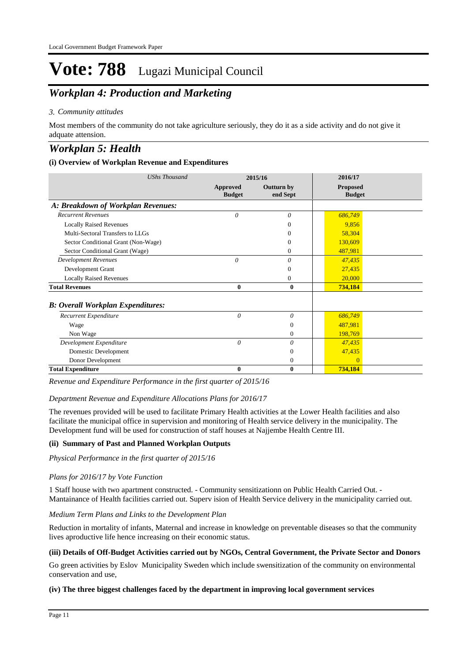### *Workplan 4: Production and Marketing*

### *Community attitudes 3.*

Most members of the community do not take agriculture seriously, they do it as a side activity and do not give it adquate attension.

### *Workplan 5: Health*

### **(i) Overview of Workplan Revenue and Expenditures**

| <b>UShs Thousand</b>                     |                           | 2015/16                | 2016/17                          |  |
|------------------------------------------|---------------------------|------------------------|----------------------------------|--|
|                                          | Approved<br><b>Budget</b> | Outturn by<br>end Sept | <b>Proposed</b><br><b>Budget</b> |  |
| A: Breakdown of Workplan Revenues:       |                           |                        |                                  |  |
| <b>Recurrent Revenues</b>                | $\theta$                  | 0                      | 686,749                          |  |
| <b>Locally Raised Revenues</b>           |                           |                        | 9,856                            |  |
| Multi-Sectoral Transfers to LLGs         |                           |                        | 58,304                           |  |
| Sector Conditional Grant (Non-Wage)      |                           | 0                      | 130,609                          |  |
| Sector Conditional Grant (Wage)          |                           | 0                      | 487,981                          |  |
| <b>Development Revenues</b>              | $\theta$                  | 0                      | 47,435                           |  |
| Development Grant                        |                           | 0                      | 27,435                           |  |
| <b>Locally Raised Revenues</b>           |                           | 0                      | 20,000                           |  |
| <b>Total Revenues</b>                    | $\bf{0}$                  | $\bf{0}$               | 734,184                          |  |
| <b>B: Overall Workplan Expenditures:</b> |                           |                        |                                  |  |
| Recurrent Expenditure                    | 0                         | $\theta$               | 686,749                          |  |
| Wage                                     |                           | $\Omega$               | 487,981                          |  |
| Non Wage                                 |                           | $\overline{0}$         | 198,769                          |  |
| Development Expenditure                  | 0                         | $\theta$               | 47,435                           |  |
| Domestic Development                     |                           | $\Omega$               | 47,435                           |  |
| Donor Development                        |                           | $\overline{0}$         |                                  |  |
| <b>Total Expenditure</b>                 | 0                         | $\bf{0}$               | 734,184                          |  |

*Revenue and Expenditure Performance in the first quarter of 2015/16*

### *Department Revenue and Expenditure Allocations Plans for 2016/17*

The revenues provided will be used to facilitate Primary Health activities at the Lower Health facilities and also facilitate the municipal office in supervision and monitoring of Health service delivery in the municipality. The Development fund will be used for construction of staff houses at Najjembe Health Centre III.

### **(ii) Summary of Past and Planned Workplan Outputs**

*Physical Performance in the first quarter of 2015/16*

### *Plans for 2016/17 by Vote Function*

1 Staff house with two apartment constructed. - Community sensitizationn on Public Health Carried Out. - Mantainance of Health facilities carried out. Superv ision of Health Service delivery in the municipality carried out.

### *Medium Term Plans and Links to the Development Plan*

Reduction in mortality of infants, Maternal and increase in knowledge on preventable diseases so that the community lives aproductive life hence increasing on their economic status.

### **(iii) Details of Off-Budget Activities carried out by NGOs, Central Government, the Private Sector and Donors**

Go green activities by Eslov Municipality Sweden which include swensitization of the community on environmental conservation and use,

### **(iv) The three biggest challenges faced by the department in improving local government services**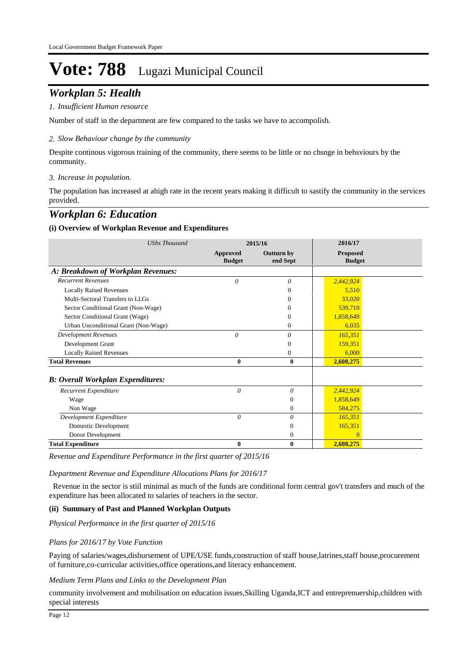### *Workplan 5: Health*

### *Insufficient Human resource 1.*

Number of staff in the department are few compared to the tasks we have to accompolish.

### *Slow Behaviour change by the community 2.*

Despite continous vigorous training of the community, there seems to be little or no chsnge in behsviours by the community.

### *Increase in population. 3.*

The population has increased at ahigh rate in the recent years making it difficult to sastify the community in the services provided.

### *Workplan 6: Education*

### **(i) Overview of Workplan Revenue and Expenditures**

| <b>UShs Thousand</b>                     |                           | 2015/16                       | 2016/17                          |
|------------------------------------------|---------------------------|-------------------------------|----------------------------------|
|                                          | Approved<br><b>Budget</b> | <b>Outturn by</b><br>end Sept | <b>Proposed</b><br><b>Budget</b> |
| A: Breakdown of Workplan Revenues:       |                           |                               |                                  |
| <b>Recurrent Revenues</b>                | $\theta$                  | 0                             | 2,442,924                        |
| <b>Locally Raised Revenues</b>           |                           | 0                             | 5,510                            |
| Multi-Sectoral Transfers to LLGs         |                           | 0                             | 33,020                           |
| Sector Conditional Grant (Non-Wage)      |                           | 0                             | 539,710                          |
| Sector Conditional Grant (Wage)          |                           | 0                             | 1,858,649                        |
| Urban Unconditional Grant (Non-Wage)     |                           | 0                             | 6,035                            |
| <b>Development Revenues</b>              | $\theta$                  | 0                             | 165,351                          |
| Development Grant                        |                           | 0                             | 159,351                          |
| <b>Locally Raised Revenues</b>           |                           | 0                             | 6,000                            |
| <b>Total Revenues</b>                    | $\bf{0}$                  | $\bf{0}$                      | 2,608,275                        |
| <b>B: Overall Workplan Expenditures:</b> |                           |                               |                                  |
| Recurrent Expenditure                    | $\theta$                  | $\theta$                      | 2,442,924                        |
| Wage                                     |                           | $\mathbf{0}$                  | 1,858,649                        |
| Non Wage                                 |                           | $\mathbf{0}$                  | 584,275                          |
| Development Expenditure                  | 0                         | $\theta$                      | 165,351                          |
| Domestic Development                     |                           | $\mathbf{0}$                  | 165,351                          |
| Donor Development                        |                           | $\mathbf{0}$                  | $\Omega$                         |
| <b>Total Expenditure</b>                 | $\bf{0}$                  | $\bf{0}$                      | 2,608,275                        |

*Revenue and Expenditure Performance in the first quarter of 2015/16*

*Department Revenue and Expenditure Allocations Plans for 2016/17*

 Revenue in the sector is stiil minimal as much of the funds are conditional form central gov't transfers and much of the expenditure has been allocated to salaries of teachers in the sector.

### **(ii) Summary of Past and Planned Workplan Outputs**

*Physical Performance in the first quarter of 2015/16*

### *Plans for 2016/17 by Vote Function*

Paying of salaries/wages,disbursement of UPE/USE funds,construction of staff house,latrines,staff house,procurement of furniture,co-curricular activities,office operations,and literacy enhancement.

### *Medium Term Plans and Links to the Development Plan*

community involvement and mobilisation on education issues,Skilling Uganda,ICT and entreprenuership,children with special interests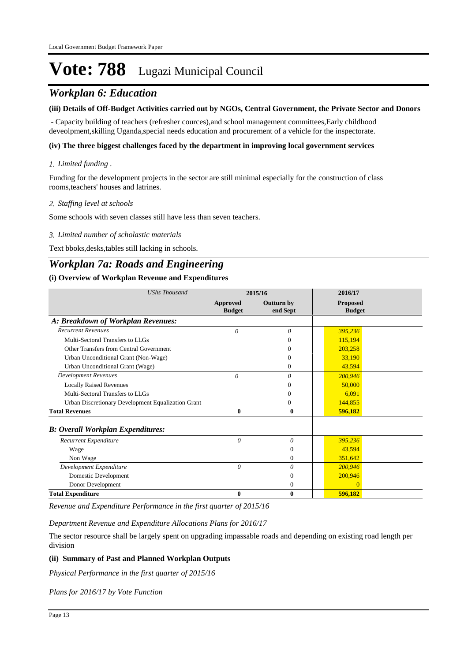### *Workplan 6: Education*

### **(iii) Details of Off-Budget Activities carried out by NGOs, Central Government, the Private Sector and Donors**

 - Capacity building of teachers (refresher cources),and school management committees,Early childhood deveolpment,skilling Uganda,special needs education and procurement of a vehicle for the inspectorate.

### **(iv) The three biggest challenges faced by the department in improving local government services**

### *Limited funding . 1.*

Funding for the development projects in the sector are still minimal especially for the construction of class rooms,teachers' houses and latrines.

### *Staffing level at schools 2.*

Some schools with seven classes still have less than seven teachers.

### *Limited number of scholastic materials 3.*

Text bboks,desks,tables still lacking in schools.

### *Workplan 7a: Roads and Engineering*

### **(i) Overview of Workplan Revenue and Expenditures**

| <b>UShs Thousand</b>                               | 2015/16                          |                               | 2016/17                          |  |
|----------------------------------------------------|----------------------------------|-------------------------------|----------------------------------|--|
|                                                    | <b>Approved</b><br><b>Budget</b> | <b>Outturn by</b><br>end Sept | <b>Proposed</b><br><b>Budget</b> |  |
| A: Breakdown of Workplan Revenues:                 |                                  |                               |                                  |  |
| <b>Recurrent Revenues</b>                          | $\theta$                         | 0                             | 395,236                          |  |
| Multi-Sectoral Transfers to LLGs                   |                                  | $\Omega$                      | 115,194                          |  |
| Other Transfers from Central Government            |                                  | $\Omega$                      | 203,258                          |  |
| Urban Unconditional Grant (Non-Wage)               |                                  | 0                             | 33.190                           |  |
| Urban Unconditional Grant (Wage)                   |                                  | $\Omega$                      | 43,594                           |  |
| <b>Development Revenues</b>                        | $\theta$                         | 0                             | 200,946                          |  |
| <b>Locally Raised Revenues</b>                     |                                  | 0                             | 50,000                           |  |
| Multi-Sectoral Transfers to LLGs                   |                                  | $\Omega$                      | 6.091                            |  |
| Urban Discretionary Development Equalization Grant |                                  | $\Omega$                      | 144,855                          |  |
| <b>Total Revenues</b>                              | $\mathbf{0}$                     | $\bf{0}$                      | 596,182                          |  |
| <b>B: Overall Workplan Expenditures:</b>           |                                  |                               |                                  |  |
| Recurrent Expenditure                              | $\theta$                         | $\theta$                      | 395,236                          |  |
| Wage                                               |                                  | $\Omega$                      | 43,594                           |  |
| Non Wage                                           |                                  | $\mathbf{0}$                  | 351,642                          |  |
| Development Expenditure                            | 0                                | 0                             | 200,946                          |  |
| Domestic Development                               |                                  | $\Omega$                      | 200,946                          |  |
| Donor Development                                  |                                  | $\mathbf{0}$                  | $\overline{0}$                   |  |
| <b>Total Expenditure</b>                           | $\bf{0}$                         | $\bf{0}$                      | 596,182                          |  |

*Revenue and Expenditure Performance in the first quarter of 2015/16*

*Department Revenue and Expenditure Allocations Plans for 2016/17*

The sector resource shall be largely spent on upgrading impassable roads and depending on existing road length per division

### **(ii) Summary of Past and Planned Workplan Outputs**

*Physical Performance in the first quarter of 2015/16*

*Plans for 2016/17 by Vote Function*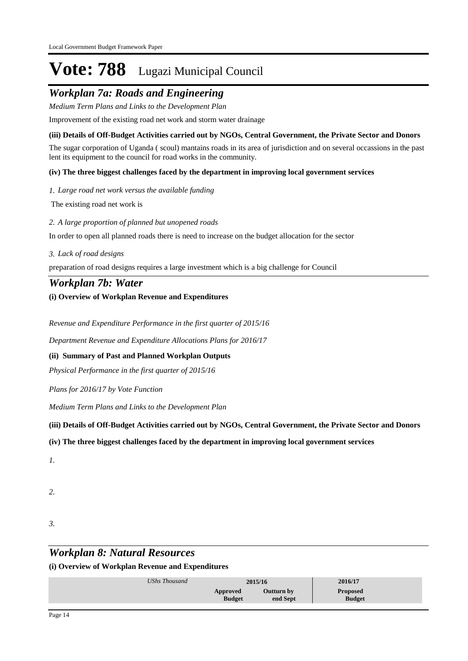### *Workplan 7a: Roads and Engineering*

*Medium Term Plans and Links to the Development Plan*

Improvement of the existing road net work and storm water drainage

### **(iii) Details of Off-Budget Activities carried out by NGOs, Central Government, the Private Sector and Donors**

The sugar corporation of Uganda ( scoul) mantains roads in its area of jurisdiction and on several occassions in the past lent its equipment to the council for road works in the community.

### **(iv) The three biggest challenges faced by the department in improving local government services**

*Large road net work versus the available funding 1.*

The existing road net work is

*A large proportion of planned but unopened roads 2.*

In order to open all planned roads there is need to increase on the budget allocation for the sector

*Lack of road designs 3.*

preparation of road designs requires a large investment which is a big challenge for Council

### *Workplan 7b: Water*

**(i) Overview of Workplan Revenue and Expenditures**

*Revenue and Expenditure Performance in the first quarter of 2015/16*

*Department Revenue and Expenditure Allocations Plans for 2016/17*

### **(ii) Summary of Past and Planned Workplan Outputs**

*Physical Performance in the first quarter of 2015/16*

*Plans for 2016/17 by Vote Function*

*Medium Term Plans and Links to the Development Plan*

**(iii) Details of Off-Budget Activities carried out by NGOs, Central Government, the Private Sector and Donors** 

### **(iv) The three biggest challenges faced by the department in improving local government services**

*1.*

*2.*

*3.*

## *Workplan 8: Natural Resources*

**(i) Overview of Workplan Revenue and Expenditures**

| Outturn by<br><b>Proposed</b><br>Approved<br><b>Budget</b><br><b>Budget</b><br>end Sept | UShs Thousand | 2015/16 | 2016/17 |
|-----------------------------------------------------------------------------------------|---------------|---------|---------|
|                                                                                         |               |         |         |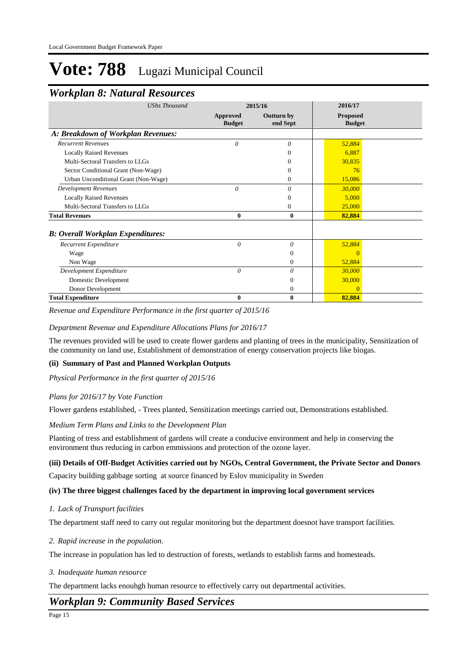### *Workplan 8: Natural Resources*

| <b>UShs Thousand</b>                     | 2015/16                   |                               | 2016/17                          |  |
|------------------------------------------|---------------------------|-------------------------------|----------------------------------|--|
|                                          | Approved<br><b>Budget</b> | <b>Outturn by</b><br>end Sept | <b>Proposed</b><br><b>Budget</b> |  |
| A: Breakdown of Workplan Revenues:       |                           |                               |                                  |  |
| <b>Recurrent Revenues</b>                | $\theta$                  | $\theta$                      | 52,884                           |  |
| <b>Locally Raised Revenues</b>           |                           |                               | 6,887                            |  |
| Multi-Sectoral Transfers to LLGs         |                           | 0                             | 30,835                           |  |
| Sector Conditional Grant (Non-Wage)      |                           | $\Omega$                      | 76                               |  |
| Urban Unconditional Grant (Non-Wage)     |                           | $\Omega$                      | 15,086                           |  |
| <b>Development Revenues</b>              | $\theta$                  | 0                             | 30,000                           |  |
| <b>Locally Raised Revenues</b>           |                           | $\Omega$                      | 5,000                            |  |
| Multi-Sectoral Transfers to LLGs         |                           | $\mathbf{0}$                  | 25,000                           |  |
| <b>Total Revenues</b>                    | $\mathbf{0}$              | 0                             | 82,884                           |  |
| <b>B: Overall Workplan Expenditures:</b> |                           |                               |                                  |  |
| Recurrent Expenditure                    | 0                         | 0                             | 52,884                           |  |
| Wage                                     |                           | $\theta$                      | $\Omega$                         |  |
| Non Wage                                 |                           | $\overline{0}$                | 52,884                           |  |
| Development Expenditure                  | 0                         | 0                             | 30,000                           |  |
| Domestic Development                     |                           | $\Omega$                      | 30,000                           |  |
| Donor Development                        |                           | 0                             | $\Omega$                         |  |
| <b>Total Expenditure</b>                 | $\bf{0}$                  | $\bf{0}$                      | 82,884                           |  |

*Revenue and Expenditure Performance in the first quarter of 2015/16*

### *Department Revenue and Expenditure Allocations Plans for 2016/17*

The revenues provided will be used to create flower gardens and planting of trees in the municipality, Sensitization of the community on land use, Establishment of demonstration of energy conservation projects like biogas.

### **(ii) Summary of Past and Planned Workplan Outputs**

*Physical Performance in the first quarter of 2015/16*

### *Plans for 2016/17 by Vote Function*

Flower gardens established, - Trees planted, Sensitization meetings carried out, Demonstrations established.

### *Medium Term Plans and Links to the Development Plan*

Planting of tress and establishment of gardens will create a conducive environment and help in conserving the environment thus reducing in carbon emmissions and protection of the ozone layer.

### **(iii) Details of Off-Budget Activities carried out by NGOs, Central Government, the Private Sector and Donors**

Capacity building gabbage sorting at source financed by Eslov municipality in Sweden

### **(iv) The three biggest challenges faced by the department in improving local government services**

### *Lack of Transport facilities 1.*

The department staff need to carry out regular monitoring but the department doesnot have transport facilities.

*Rapid increase in the population. 2.*

The increase in population has led to destruction of forests, wetlands to establish farms and homesteads.

### *Inadequate human resource 3.*

The department lacks enouhgh human resource to effectively carry out departmental activities.

### *Workplan 9: Community Based Services*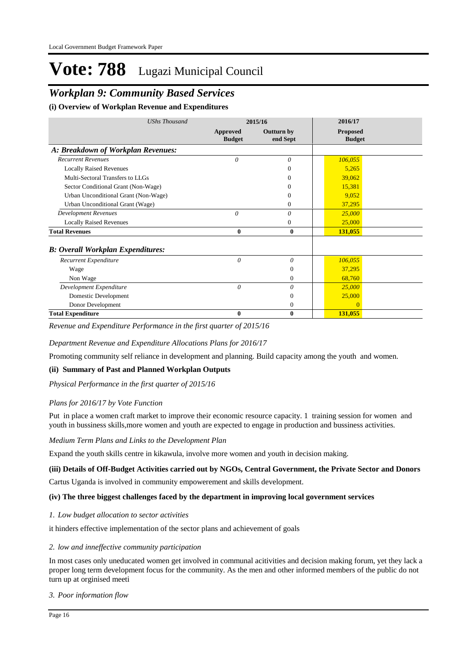### *Workplan 9: Community Based Services*

**(i) Overview of Workplan Revenue and Expenditures**

| <b>UShs Thousand</b>                     | 2015/16                   |                               | 2016/17                          |  |
|------------------------------------------|---------------------------|-------------------------------|----------------------------------|--|
|                                          | Approved<br><b>Budget</b> | <b>Outturn by</b><br>end Sept | <b>Proposed</b><br><b>Budget</b> |  |
| A: Breakdown of Workplan Revenues:       |                           |                               |                                  |  |
| <b>Recurrent Revenues</b>                | $\theta$                  | 0                             | 106,055                          |  |
| <b>Locally Raised Revenues</b>           |                           |                               | 5,265                            |  |
| Multi-Sectoral Transfers to LLGs         |                           | 0                             | 39,062                           |  |
| Sector Conditional Grant (Non-Wage)      |                           |                               | 15,381                           |  |
| Urban Unconditional Grant (Non-Wage)     |                           | 0                             | 9,052                            |  |
| Urban Unconditional Grant (Wage)         |                           | 0                             | 37,295                           |  |
| <b>Development Revenues</b>              | $\theta$                  | 0                             | 25,000                           |  |
| <b>Locally Raised Revenues</b>           |                           | 0                             | 25,000                           |  |
| <b>Total Revenues</b>                    | $\boldsymbol{0}$          | $\bf{0}$                      | 131,055                          |  |
| <b>B: Overall Workplan Expenditures:</b> |                           |                               |                                  |  |
| <b>Recurrent Expenditure</b>             | 0                         | $\theta$                      | 106,055                          |  |
| Wage                                     |                           | $\overline{0}$                | 37,295                           |  |
| Non Wage                                 |                           | $\overline{0}$                | 68,760                           |  |
| Development Expenditure                  | $\theta$                  | $\theta$                      | 25,000                           |  |
| Domestic Development                     |                           | $\overline{0}$                | 25,000                           |  |
| Donor Development                        |                           | $\overline{0}$                |                                  |  |
| <b>Total Expenditure</b>                 | $\bf{0}$                  | $\bf{0}$                      | 131,055                          |  |

*Revenue and Expenditure Performance in the first quarter of 2015/16*

*Department Revenue and Expenditure Allocations Plans for 2016/17*

Promoting community self reliance in development and planning. Build capacity among the youth and women.

### **(ii) Summary of Past and Planned Workplan Outputs**

*Physical Performance in the first quarter of 2015/16*

### *Plans for 2016/17 by Vote Function*

Put in place a women craft market to improve their economic resource capacity. 1 training session for women and youth in bussiness skills,more women and youth are expected to engage in production and bussiness activities.

*Medium Term Plans and Links to the Development Plan*

Expand the youth skills centre in kikawula, involve more women and youth in decision making.

### **(iii) Details of Off-Budget Activities carried out by NGOs, Central Government, the Private Sector and Donors**

Cartus Uganda is involved in community empowerement and skills development.

### **(iv) The three biggest challenges faced by the department in improving local government services**

*Low budget allocation to sector activities 1.*

it hinders effective implementation of the sector plans and achievement of goals

### *low and inneffective community participation 2.*

In most cases only uneducated women get involved in communal acitivities and decision making forum, yet they lack a proper long term development focus for the community. As the men and other informed members of the public do not turn up at orginised meeti

### *Poor information flow 3.*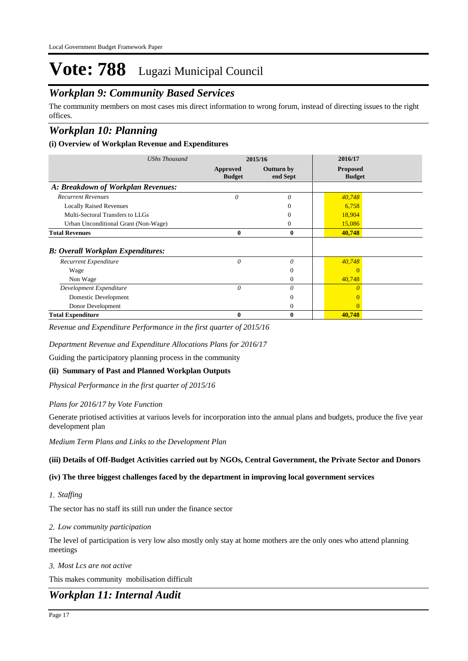### *Workplan 9: Community Based Services*

The community members on most cases mis direct information to wrong forum, instead of directing issues to the right offices.

### *Workplan 10: Planning*

### **(i) Overview of Workplan Revenue and Expenditures**

| <b>UShs Thousand</b>                     | 2015/16                   |                        | 2016/17                          |  |
|------------------------------------------|---------------------------|------------------------|----------------------------------|--|
|                                          | Approved<br><b>Budget</b> | Outturn by<br>end Sept | <b>Proposed</b><br><b>Budget</b> |  |
| A: Breakdown of Workplan Revenues:       |                           |                        |                                  |  |
| <b>Recurrent Revenues</b>                | 0                         | 0                      | 40,748                           |  |
| <b>Locally Raised Revenues</b>           |                           | $\theta$               | 6,758                            |  |
| Multi-Sectoral Transfers to LLGs         |                           | $\Omega$               | 18,904                           |  |
| Urban Unconditional Grant (Non-Wage)     |                           | 0                      | 15,086                           |  |
| <b>Total Revenues</b>                    | $\bf{0}$                  | $\bf{0}$               | 40,748                           |  |
| <b>B: Overall Workplan Expenditures:</b> |                           |                        |                                  |  |
| Recurrent Expenditure                    | 0                         | $\theta$               | 40,748                           |  |
| Wage                                     |                           | $\Omega$               |                                  |  |
| Non Wage                                 |                           | $\Omega$               | 40,748                           |  |
| Development Expenditure                  | 0                         | $\theta$               |                                  |  |
| Domestic Development                     |                           |                        |                                  |  |
| Donor Development                        |                           | 0                      |                                  |  |
| <b>Total Expenditure</b>                 | 0                         | 0                      | 40,748                           |  |

*Revenue and Expenditure Performance in the first quarter of 2015/16*

*Department Revenue and Expenditure Allocations Plans for 2016/17*

Guiding the participatory planning process in the community

### **(ii) Summary of Past and Planned Workplan Outputs**

*Physical Performance in the first quarter of 2015/16*

### *Plans for 2016/17 by Vote Function*

Generate priotised activities at variuos levels for incorporation into the annual plans and budgets, produce the five year development plan

*Medium Term Plans and Links to the Development Plan*

### **(iii) Details of Off-Budget Activities carried out by NGOs, Central Government, the Private Sector and Donors**

### **(iv) The three biggest challenges faced by the department in improving local government services**

*Staffing 1.*

The sector has no staff its still run under the finance sector

*Low community participation 2.*

The level of participation is very low also mostly only stay at home mothers are the only ones who attend planning meetings

*Most Lcs are not active 3.*

This makes community mobilisation difficult

### *Workplan 11: Internal Audit*